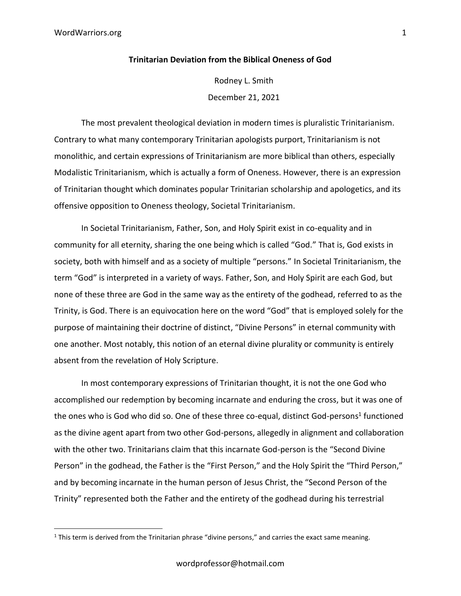## **Trinitarian Deviation from the Biblical Oneness of God**

Rodney L. Smith December 21, 2021

The most prevalent theological deviation in modern times is pluralistic Trinitarianism. Contrary to what many contemporary Trinitarian apologists purport, Trinitarianism is not monolithic, and certain expressions of Trinitarianism are more biblical than others, especially Modalistic Trinitarianism, which is actually a form of Oneness. However, there is an expression of Trinitarian thought which dominates popular Trinitarian scholarship and apologetics, and its offensive opposition to Oneness theology, Societal Trinitarianism.

In Societal Trinitarianism, Father, Son, and Holy Spirit exist in co-equality and in community for all eternity, sharing the one being which is called "God." That is, God exists in society, both with himself and as a society of multiple "persons." In Societal Trinitarianism, the term "God" is interpreted in a variety of ways. Father, Son, and Holy Spirit are each God, but none of these three are God in the same way as the entirety of the godhead, referred to as the Trinity, is God. There is an equivocation here on the word "God" that is employed solely for the purpose of maintaining their doctrine of distinct, "Divine Persons" in eternal community with one another. Most notably, this notion of an eternal divine plurality or community is entirely absent from the revelation of Holy Scripture.

In most contemporary expressions of Trinitarian thought, it is not the one God who accomplished our redemption by becoming incarnate and enduring the cross, but it was one of the ones who is God who did so. One of these three co-equal, distinct God-persons<sup>1</sup> functioned as the divine agent apart from two other God-persons, allegedly in alignment and collaboration with the other two. Trinitarians claim that this incarnate God-person is the "Second Divine Person" in the godhead, the Father is the "First Person," and the Holy Spirit the "Third Person," and by becoming incarnate in the human person of Jesus Christ, the "Second Person of the Trinity" represented both the Father and the entirety of the godhead during his terrestrial

 $1$  This term is derived from the Trinitarian phrase "divine persons," and carries the exact same meaning.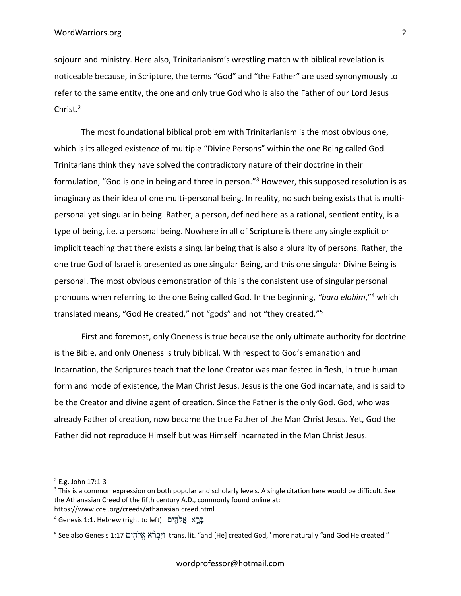sojourn and ministry. Here also, Trinitarianism's wrestling match with biblical revelation is noticeable because, in Scripture, the terms "God" and "the Father" are used synonymously to refer to the same entity, the one and only true God who is also the Father of our Lord Jesus Christ.<sup>2</sup>

The most foundational biblical problem with Trinitarianism is the most obvious one, which is its alleged existence of multiple "Divine Persons" within the one Being called God. Trinitarians think they have solved the contradictory nature of their doctrine in their formulation, "God is one in being and three in person."<sup>3</sup> However, this supposed resolution is as imaginary as their idea of one multi-personal being. In reality, no such being exists that is multipersonal yet singular in being. Rather, a person, defined here as a rational, sentient entity, is a type of being, i.e. a personal being. Nowhere in all of Scripture is there any single explicit or implicit teaching that there exists a singular being that is also a plurality of persons. Rather, the one true God of Israel is presented as one singular Being, and this one singular Divine Being is personal. The most obvious demonstration of this is the consistent use of singular personal pronouns when referring to the one Being called God. In the beginning, *"bara elohim*,"<sup>4</sup> which translated means, "God He created," not "gods" and not "they created."<sup>5</sup>

First and foremost, only Oneness is true because the only ultimate authority for doctrine is the Bible, and only Oneness is truly biblical. With respect to God's emanation and Incarnation, the Scriptures teach that the lone Creator was manifested in flesh, in true human form and mode of existence, the Man Christ Jesus. Jesus is the one God incarnate, and is said to be the Creator and divine agent of creation. Since the Father is the only God. God, who was already Father of creation, now became the true Father of the Man Christ Jesus. Yet, God the Father did not reproduce Himself but was Himself incarnated in the Man Christ Jesus.

<sup>2</sup> E.g. John 17:1-3

<sup>&</sup>lt;sup>3</sup> This is a common expression on both popular and scholarly levels. A single citation here would be difficult. See the Athanasian Creed of the fifth century A.D., commonly found online at:

https://www.ccel.org/creeds/athanasian.creed.html

בְּרָא אֱלֹהֶים :(Genesis 1:1. Hebrew (right to left) בּ

 $^5$  See also Genesis 1:17 יֵיִּבְרָ֫א אֱלֹהֶים trans. lit. "and [He] created God," more naturally "and God He created."